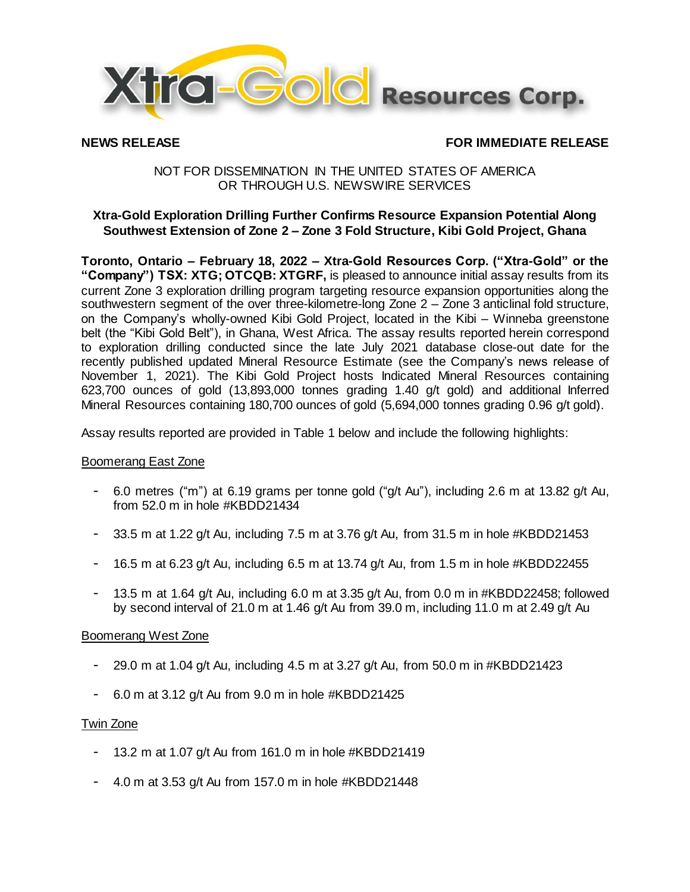

# **NEWS RELEASE FOR IMMEDIATE RELEASE**

## NOT FOR DISSEMINATION IN THE UNITED STATES OF AMERICA OR THROUGH U.S. NEWSWIRE SERVICES

## **Xtra-Gold Exploration Drilling Further Confirms Resource Expansion Potential Along Southwest Extension of Zone 2 – Zone 3 Fold Structure, Kibi Gold Project, Ghana**

**Toronto, Ontario – February 18, 2022 – Xtra-Gold Resources Corp. ("Xtra-Gold" or the "Company") TSX: XTG; OTCQB: XTGRF,** is pleased to announce initial assay results from its current Zone 3 exploration drilling program targeting resource expansion opportunities along the southwestern segment of the over three-kilometre-long Zone 2 – Zone 3 anticlinal fold structure, on the Company's wholly-owned Kibi Gold Project, located in the Kibi – Winneba greenstone belt (the "Kibi Gold Belt"), in Ghana, West Africa. The assay results reported herein correspond to exploration drilling conducted since the late July 2021 database close-out date for the recently published updated Mineral Resource Estimate (see the Company's news release of November 1, 2021). The Kibi Gold Project hosts Indicated Mineral Resources containing 623,700 ounces of gold (13,893,000 tonnes grading 1.40 g/t gold) and additional Inferred Mineral Resources containing 180,700 ounces of gold (5,694,000 tonnes grading 0.96 g/t gold).

Assay results reported are provided in Table 1 below and include the following highlights:

## Boomerang East Zone

- 6.0 metres ("m") at 6.19 grams per tonne gold ("g/t Au"), including 2.6 m at 13.82 g/t Au, from 52.0 m in hole #KBDD21434
- 33.5 m at 1.22 g/t Au, including 7.5 m at 3.76 g/t Au, from 31.5 m in hole #KBDD21453
- 16.5 m at 6.23 g/t Au, including 6.5 m at 13.74 g/t Au, from 1.5 m in hole #KBDD22455
- 13.5 m at 1.64 g/t Au, including 6.0 m at 3.35 g/t Au, from 0.0 m in #KBDD22458; followed by second interval of 21.0 m at 1.46 g/t Au from 39.0 m, including 11.0 m at 2.49 g/t Au

### Boomerang West Zone

- 29.0 m at 1.04 g/t Au, including 4.5 m at 3.27 g/t Au, from 50.0 m in #KBDD21423
- 6.0 m at 3.12 g/t Au from 9.0 m in hole #KBDD21425

### Twin Zone

- 13.2 m at 1.07 g/t Au from 161.0 m in hole #KBDD21419
- 4.0 m at 3.53 g/t Au from 157.0 m in hole #KBDD21448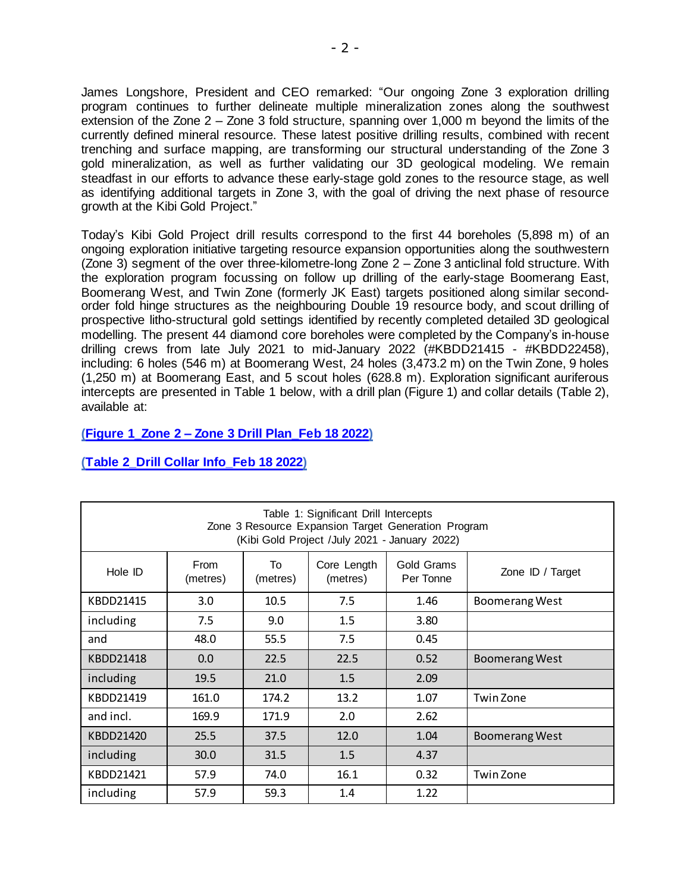James Longshore, President and CEO remarked: "Our ongoing Zone 3 exploration drilling program continues to further delineate multiple mineralization zones along the southwest extension of the Zone 2 – Zone 3 fold structure, spanning over 1,000 m beyond the limits of the currently defined mineral resource. These latest positive drilling results, combined with recent trenching and surface mapping, are transforming our structural understanding of the Zone 3 gold mineralization, as well as further validating our 3D geological modeling. We remain steadfast in our efforts to advance these early-stage gold zones to the resource stage, as well as identifying additional targets in Zone 3, with the goal of driving the next phase of resource growth at the Kibi Gold Project."

Today's Kibi Gold Project drill results correspond to the first 44 boreholes (5,898 m) of an ongoing exploration initiative targeting resource expansion opportunities along the southwestern (Zone 3) segment of the over three-kilometre-long Zone 2 – Zone 3 anticlinal fold structure. With the exploration program focussing on follow up drilling of the early-stage Boomerang East, Boomerang West, and Twin Zone (formerly JK East) targets positioned along similar secondorder fold hinge structures as the neighbouring Double 19 resource body, and scout drilling of prospective litho-structural gold settings identified by recently completed detailed 3D geological modelling. The present 44 diamond core boreholes were completed by the Company's in-house drilling crews from late July 2021 to mid-January 2022 (#KBDD21415 - #KBDD22458), including: 6 holes (546 m) at Boomerang West, 24 holes (3,473.2 m) on the Twin Zone, 9 holes (1,250 m) at Boomerang East, and 5 scout holes (628.8 m). Exploration significant auriferous intercepts are presented in Table 1 below, with a drill plan (Figure 1) and collar details (Table 2), available at:

## **(Figure 1\_Zone 2 – [Zone 3 Drill Plan\\_Feb 18](https://www.xtragold.com/_resources/news/nr-2022-02-18-figure1.pdf) 2022)**

| Table 1: Significant Drill Intercepts<br>Zone 3 Resource Expansion Target Generation Program<br>(Kibi Gold Project /July 2021 - January 2022) |                  |                |                         |                         |                       |  |  |  |
|-----------------------------------------------------------------------------------------------------------------------------------------------|------------------|----------------|-------------------------|-------------------------|-----------------------|--|--|--|
| Hole ID                                                                                                                                       | From<br>(metres) | To<br>(metres) | Core Length<br>(metres) | Gold Grams<br>Per Tonne | Zone ID / Target      |  |  |  |
| KBDD21415                                                                                                                                     | 3.0              | 10.5           | 7.5                     | 1.46                    | Boomerang West        |  |  |  |
| including                                                                                                                                     | 7.5              | 9.0            | 1.5                     | 3.80                    |                       |  |  |  |
| and                                                                                                                                           | 48.0             | 55.5           | 7.5                     | 0.45                    |                       |  |  |  |
| KBDD21418                                                                                                                                     | 0.0              | 22.5           | 22.5                    | 0.52                    | <b>Boomerang West</b> |  |  |  |
| including                                                                                                                                     | 19.5             | 21.0           | 1.5                     | 2.09                    |                       |  |  |  |
| KBDD21419                                                                                                                                     | 161.0            | 174.2          | 13.2                    | 1.07                    | Twin Zone             |  |  |  |
| and incl.                                                                                                                                     | 169.9            | 171.9          | 2.0                     | 2.62                    |                       |  |  |  |
| KBDD21420                                                                                                                                     | 25.5             | 37.5           | 12.0                    | 1.04                    | <b>Boomerang West</b> |  |  |  |
| including                                                                                                                                     | 30.0             | 31.5           | 1.5                     | 4.37                    |                       |  |  |  |
| KBDD21421                                                                                                                                     | 57.9             | 74.0           | 16.1                    | 0.32                    | Twin Zone             |  |  |  |
| including                                                                                                                                     | 57.9             | 59.3           | 1.4                     | 1.22                    |                       |  |  |  |

## **[\(Table 2\\_Drill Collar Info\\_Feb 18](https://www.xtragold.com/_resources/news/nr-2022-02-18-table1.pdf) 2022)**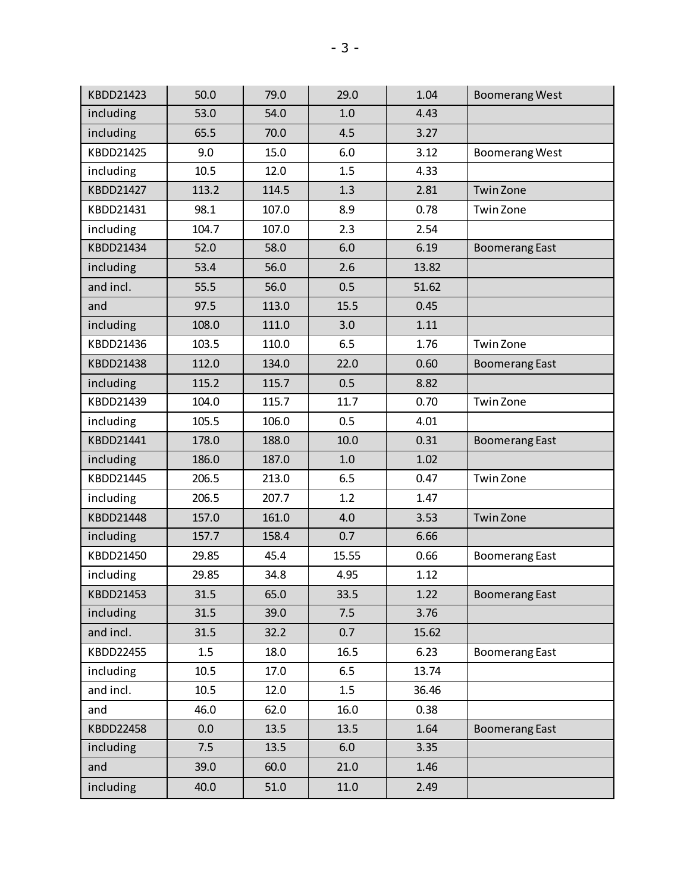| KBDD21423 | 50.0  | 79.0  | 29.0  | 1.04  | <b>Boomerang West</b> |
|-----------|-------|-------|-------|-------|-----------------------|
| including | 53.0  | 54.0  | 1.0   | 4.43  |                       |
| including | 65.5  | 70.0  | 4.5   | 3.27  |                       |
| KBDD21425 | 9.0   | 15.0  | 6.0   | 3.12  | <b>Boomerang West</b> |
| including | 10.5  | 12.0  | 1.5   | 4.33  |                       |
| KBDD21427 | 113.2 | 114.5 | 1.3   | 2.81  | <b>Twin Zone</b>      |
| KBDD21431 | 98.1  | 107.0 | 8.9   | 0.78  | Twin Zone             |
| including | 104.7 | 107.0 | 2.3   | 2.54  |                       |
| KBDD21434 | 52.0  | 58.0  | 6.0   | 6.19  | <b>Boomerang East</b> |
| including | 53.4  | 56.0  | 2.6   | 13.82 |                       |
| and incl. | 55.5  | 56.0  | 0.5   | 51.62 |                       |
| and       | 97.5  | 113.0 | 15.5  | 0.45  |                       |
| including | 108.0 | 111.0 | 3.0   | 1.11  |                       |
| KBDD21436 | 103.5 | 110.0 | 6.5   | 1.76  | Twin Zone             |
| KBDD21438 | 112.0 | 134.0 | 22.0  | 0.60  | <b>Boomerang East</b> |
| including | 115.2 | 115.7 | 0.5   | 8.82  |                       |
| KBDD21439 | 104.0 | 115.7 | 11.7  | 0.70  | Twin Zone             |
| including | 105.5 | 106.0 | 0.5   | 4.01  |                       |
| KBDD21441 | 178.0 | 188.0 | 10.0  | 0.31  | <b>Boomerang East</b> |
| including | 186.0 | 187.0 | 1.0   | 1.02  |                       |
| KBDD21445 | 206.5 | 213.0 | 6.5   | 0.47  | Twin Zone             |
| including | 206.5 | 207.7 | 1.2   | 1.47  |                       |
| KBDD21448 | 157.0 | 161.0 | 4.0   | 3.53  | Twin Zone             |
| including | 157.7 | 158.4 | 0.7   | 6.66  |                       |
| KBDD21450 | 29.85 | 45.4  | 15.55 | 0.66  | <b>Boomerang East</b> |
| including | 29.85 | 34.8  | 4.95  | 1.12  |                       |
| KBDD21453 | 31.5  | 65.0  | 33.5  | 1.22  | <b>Boomerang East</b> |
| including | 31.5  | 39.0  | 7.5   | 3.76  |                       |
| and incl. | 31.5  | 32.2  | 0.7   | 15.62 |                       |
| KBDD22455 | 1.5   | 18.0  | 16.5  | 6.23  | <b>Boomerang East</b> |
| including | 10.5  | 17.0  | 6.5   | 13.74 |                       |
| and incl. | 10.5  | 12.0  | 1.5   | 36.46 |                       |
| and       | 46.0  | 62.0  | 16.0  | 0.38  |                       |
| KBDD22458 | 0.0   | 13.5  | 13.5  | 1.64  | <b>Boomerang East</b> |
| including | 7.5   | 13.5  | 6.0   | 3.35  |                       |
| and       | 39.0  | 60.0  | 21.0  | 1.46  |                       |
| including | 40.0  | 51.0  | 11.0  | 2.49  |                       |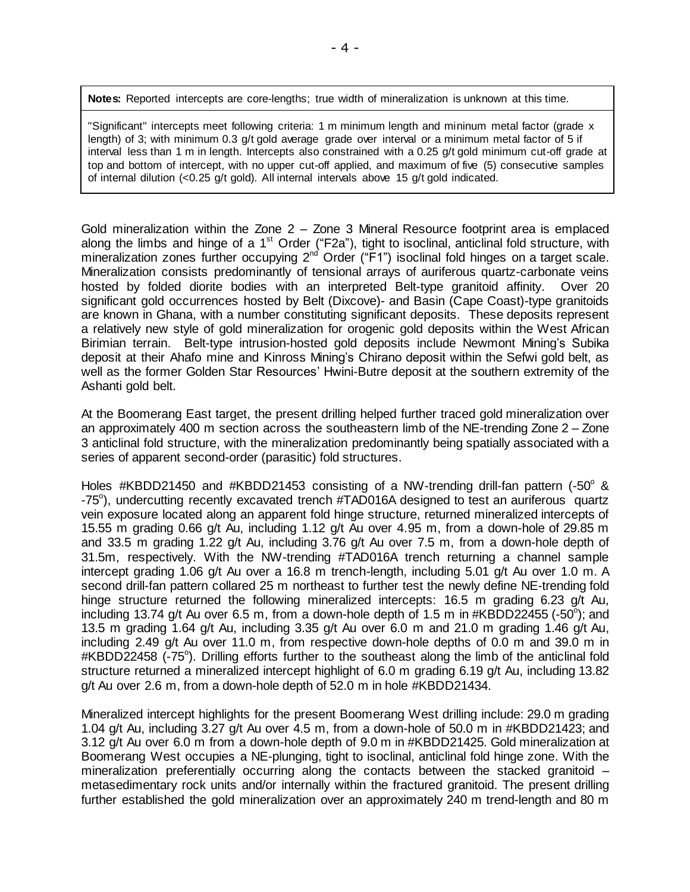**Notes:** Reported intercepts are core-lengths; true width of mineralization is unknown at this time.

"Significant" intercepts meet following criteria: 1 m minimum length and mininum metal factor (grade x length) of 3; with minimum 0.3 g/t gold average grade over interval or a minimum metal factor of 5 if interval less than 1 m in length. Intercepts also constrained with a 0.25 g/t gold minimum cut-off grade at top and bottom of intercept, with no upper cut-off applied, and maximum of five (5) consecutive samples of internal dilution (<0.25 g/t gold). All internal intervals above 15 g/t gold indicated.

Gold mineralization within the Zone 2 – Zone 3 Mineral Resource footprint area is emplaced along the limbs and hinge of a 1<sup>st</sup> Order ("F2a"), tight to isoclinal, anticlinal fold structure, with mineralization zones further occupying 2<sup>nd</sup> Order ("F1") isoclinal fold hinges on a target scale. Mineralization consists predominantly of tensional arrays of auriferous quartz-carbonate veins hosted by folded diorite bodies with an interpreted Belt-type granitoid affinity. Over 20 significant gold occurrences hosted by Belt (Dixcove)- and Basin (Cape Coast)-type granitoids are known in Ghana, with a number constituting significant deposits. These deposits represent a relatively new style of gold mineralization for orogenic gold deposits within the West African Birimian terrain. Belt-type intrusion-hosted gold deposits include Newmont Mining's Subika deposit at their Ahafo mine and Kinross Mining's Chirano deposit within the Sefwi gold belt, as well as the former Golden Star Resources' Hwini-Butre deposit at the southern extremity of the Ashanti gold belt.

At the Boomerang East target, the present drilling helped further traced gold mineralization over an approximately 400 m section across the southeastern limb of the NE-trending Zone 2 – Zone 3 anticlinal fold structure, with the mineralization predominantly being spatially associated with a series of apparent second-order (parasitic) fold structures.

Holes #KBDD21450 and #KBDD21453 consisting of a NW-trending drill-fan pattern  $(-50^{\circ}$  & -75°), undercutting recently excavated trench #TAD016A designed to test an auriferous quartz vein exposure located along an apparent fold hinge structure, returned mineralized intercepts of 15.55 m grading 0.66 g/t Au, including 1.12 g/t Au over 4.95 m, from a down-hole of 29.85 m and 33.5 m grading 1.22 g/t Au, including 3.76 g/t Au over 7.5 m, from a down-hole depth of 31.5m, respectively. With the NW-trending #TAD016A trench returning a channel sample intercept grading 1.06 g/t Au over a 16.8 m trench-length, including 5.01 g/t Au over 1.0 m. A second drill-fan pattern collared 25 m northeast to further test the newly define NE-trending fold hinge structure returned the following mineralized intercepts: 16.5 m grading 6.23 g/t Au, including 13.74 g/t Au over 6.5 m, from a down-hole depth of 1.5 m in #KBDD22455 (-50<sup>o</sup>); and 13.5 m grading 1.64 g/t Au, including 3.35 g/t Au over 6.0 m and 21.0 m grading 1.46 g/t Au, including 2.49 g/t Au over 11.0 m, from respective down-hole depths of 0.0 m and 39.0 m in #KBDD22458 (-75°). Drilling efforts further to the southeast along the limb of the anticlinal fold structure returned a mineralized intercept highlight of 6.0 m grading 6.19 g/t Au, including 13.82 g/t Au over 2.6 m, from a down-hole depth of 52.0 m in hole #KBDD21434.

Mineralized intercept highlights for the present Boomerang West drilling include: 29.0 m grading 1.04 g/t Au, including 3.27 g/t Au over 4.5 m, from a down-hole of 50.0 m in #KBDD21423; and 3.12 g/t Au over 6.0 m from a down-hole depth of 9.0 m in #KBDD21425. Gold mineralization at Boomerang West occupies a NE-plunging, tight to isoclinal, anticlinal fold hinge zone. With the mineralization preferentially occurring along the contacts between the stacked granitoid – metasedimentary rock units and/or internally within the fractured granitoid. The present drilling further established the gold mineralization over an approximately 240 m trend-length and 80 m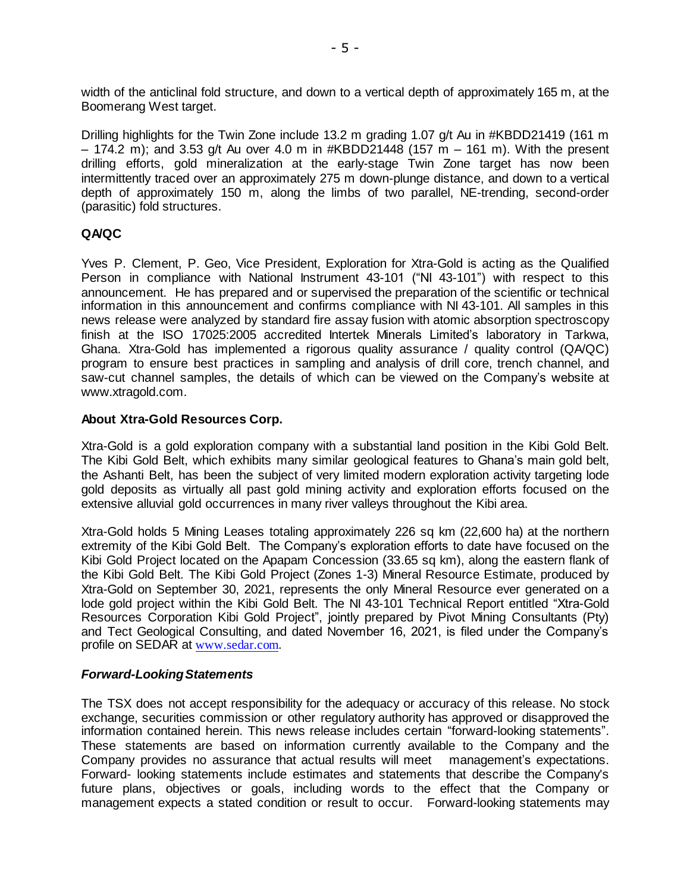width of the anticlinal fold structure, and down to a vertical depth of approximately 165 m, at the Boomerang West target.

Drilling highlights for the Twin Zone include 13.2 m grading 1.07 g/t Au in #KBDD21419 (161 m  $-$  174.2 m); and 3.53 g/t Au over 4.0 m in #KBDD21448 (157 m  $-$  161 m). With the present drilling efforts, gold mineralization at the early-stage Twin Zone target has now been intermittently traced over an approximately 275 m down-plunge distance, and down to a vertical depth of approximately 150 m, along the limbs of two parallel, NE-trending, second-order (parasitic) fold structures.

### **QA/QC**

Yves P. Clement, P. Geo, Vice President, Exploration for Xtra-Gold is acting as the Qualified Person in compliance with National Instrument 43-101 ("NI 43-101") with respect to this announcement. He has prepared and or supervised the preparation of the scientific or technical information in this announcement and confirms compliance with NI 43-101. All samples in this news release were analyzed by standard fire assay fusion with atomic absorption spectroscopy finish at the ISO 17025:2005 accredited Intertek Minerals Limited's laboratory in Tarkwa, Ghana. Xtra-Gold has implemented a rigorous quality assurance / quality control (QA/QC) program to ensure best practices in sampling and analysis of drill core, trench channel, and saw-cut channel samples, the details of which can be viewed on the Company's website at [www.xtragold.com.](http://www.xtragold.com/)

#### **About Xtra-Gold Resources Corp.**

Xtra-Gold is a gold exploration company with a substantial land position in the Kibi Gold Belt. The Kibi Gold Belt, which exhibits many similar geological features to Ghana's main gold belt, the Ashanti Belt, has been the subject of very limited modern exploration activity targeting lode gold deposits as virtually all past gold mining activity and exploration efforts focused on the extensive alluvial gold occurrences in many river valleys throughout the Kibi area.

Xtra-Gold holds 5 Mining Leases totaling approximately 226 sq km (22,600 ha) at the northern extremity of the Kibi Gold Belt. The Company's exploration efforts to date have focused on the Kibi Gold Project located on the Apapam Concession (33.65 sq km), along the eastern flank of the Kibi Gold Belt. The Kibi Gold Project (Zones 1-3) Mineral Resource Estimate, produced by Xtra-Gold on September 30, 2021, represents the only Mineral Resource ever generated on a lode gold project within the Kibi Gold Belt. The NI 43-101 Technical Report entitled "Xtra-Gold Resources Corporation Kibi Gold Project", jointly prepared by Pivot Mining Consultants (Pty) and Tect Geological Consulting, and dated November 16, 2021, is filed under the Company's profile on SEDAR at [www.sedar.com](http://www.sedar.com/).

#### *Forward-LookingStatements*

The TSX does not accept responsibility for the adequacy or accuracy of this release. No stock exchange, securities commission or other regulatory authority has approved or disapproved the information contained herein. This news release includes certain "forward-looking statements". These statements are based on information currently available to the Company and the Company provides no assurance that actual results will meet management's expectations. Forward- looking statements include estimates and statements that describe the Company's future plans, objectives or goals, including words to the effect that the Company or management expects a stated condition or result to occur. Forward-looking statements may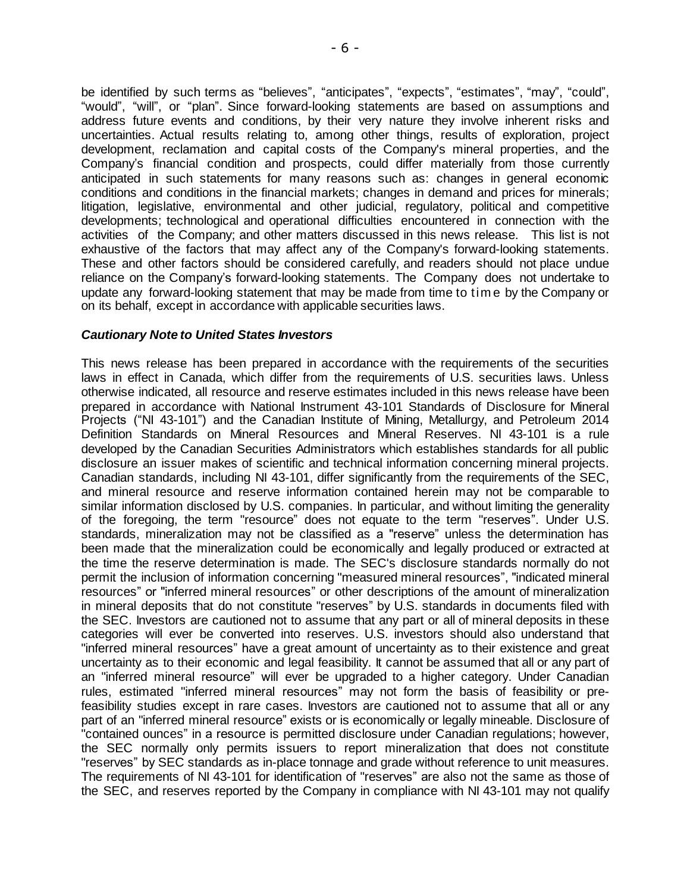be identified by such terms as "believes", "anticipates", "expects", "estimates", "may", "could", "would", "will", or "plan". Since forward-looking statements are based on assumptions and address future events and conditions, by their very nature they involve inherent risks and uncertainties. Actual results relating to, among other things, results of exploration, project development, reclamation and capital costs of the Company's mineral properties, and the Company's financial condition and prospects, could differ materially from those currently anticipated in such statements for many reasons such as: changes in general economic conditions and conditions in the financial markets; changes in demand and prices for minerals; litigation, legislative, environmental and other judicial, regulatory, political and competitive developments; technological and operational difficulties encountered in connection with the activities of the Company; and other matters discussed in this news release. This list is not exhaustive of the factors that may affect any of the Company's forward-looking statements. These and other factors should be considered carefully, and readers should not place undue reliance on the Company's forward-looking statements. The Company does not undertake to update any forward-looking statement that may be made from time to tim e by the Company or on its behalf, except in accordance with applicable securities laws.

### *Cautionary Note to United States Investors*

This news release has been prepared in accordance with the requirements of the securities laws in effect in Canada, which differ from the requirements of U.S. securities laws. Unless otherwise indicated, all resource and reserve estimates included in this news release have been prepared in accordance with National Instrument 43-101 Standards of Disclosure for Mineral Projects ("NI 43-101") and the Canadian Institute of Mining, Metallurgy, and Petroleum 2014 Definition Standards on Mineral Resources and Mineral Reserves. NI 43-101 is a rule developed by the Canadian Securities Administrators which establishes standards for all public disclosure an issuer makes of scientific and technical information concerning mineral projects. Canadian standards, including NI 43-101, differ significantly from the requirements of the SEC, and mineral resource and reserve information contained herein may not be comparable to similar information disclosed by U.S. companies. In particular, and without limiting the generality of the foregoing, the term "resource" does not equate to the term "reserves". Under U.S. standards, mineralization may not be classified as a "reserve" unless the determination has been made that the mineralization could be economically and legally produced or extracted at the time the reserve determination is made. The SEC's disclosure standards normally do not permit the inclusion of information concerning "measured mineral resources", "indicated mineral resources" or "inferred mineral resources" or other descriptions of the amount of mineralization in mineral deposits that do not constitute "reserves" by U.S. standards in documents filed with the SEC. Investors are cautioned not to assume that any part or all of mineral deposits in these categories will ever be converted into reserves. U.S. investors should also understand that "inferred mineral resources" have a great amount of uncertainty as to their existence and great uncertainty as to their economic and legal feasibility. It cannot be assumed that all or any part of an "inferred mineral resource" will ever be upgraded to a higher category. Under Canadian rules, estimated "inferred mineral resources" may not form the basis of feasibility or prefeasibility studies except in rare cases. Investors are cautioned not to assume that all or any part of an "inferred mineral resource" exists or is economically or legally mineable. Disclosure of "contained ounces" in a resource is permitted disclosure under Canadian regulations; however, the SEC normally only permits issuers to report mineralization that does not constitute "reserves" by SEC standards as in-place tonnage and grade without reference to unit measures. The requirements of NI 43-101 for identification of "reserves" are also not the same as those of the SEC, and reserves reported by the Company in compliance with NI 43-101 may not qualify